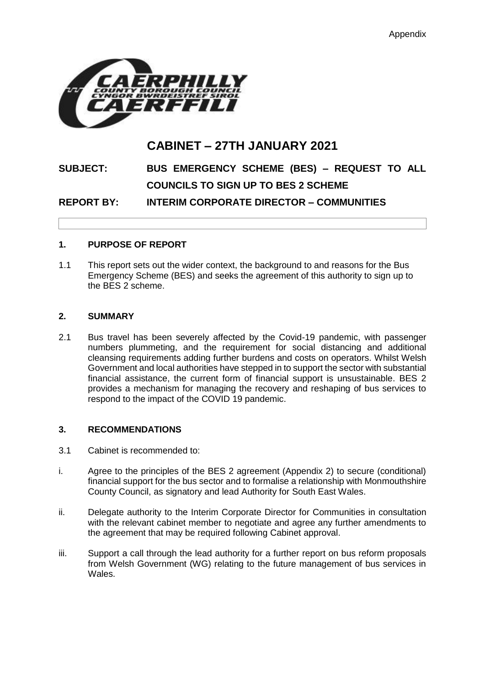

## **CABINET – 27TH JANUARY 2021**

# **SUBJECT: BUS EMERGENCY SCHEME (BES) – REQUEST TO ALL COUNCILS TO SIGN UP TO BES 2 SCHEME**

**REPORT BY: INTERIM CORPORATE DIRECTOR – COMMUNITIES**

## **1. PURPOSE OF REPORT**

1.1 This report sets out the wider context, the background to and reasons for the Bus Emergency Scheme (BES) and seeks the agreement of this authority to sign up to the BES 2 scheme.

#### **2. SUMMARY**

2.1 Bus travel has been severely affected by the Covid-19 pandemic, with passenger numbers plummeting, and the requirement for social distancing and additional cleansing requirements adding further burdens and costs on operators. Whilst Welsh Government and local authorities have stepped in to support the sector with substantial financial assistance, the current form of financial support is unsustainable. BES 2 provides a mechanism for managing the recovery and reshaping of bus services to respond to the impact of the COVID 19 pandemic.

## **3. RECOMMENDATIONS**

- 3.1 Cabinet is recommended to:
- i. Agree to the principles of the BES 2 agreement (Appendix 2) to secure (conditional) financial support for the bus sector and to formalise a relationship with Monmouthshire County Council, as signatory and lead Authority for South East Wales.
- ii. Delegate authority to the Interim Corporate Director for Communities in consultation with the relevant cabinet member to negotiate and agree any further amendments to the agreement that may be required following Cabinet approval.
- iii. Support a call through the lead authority for a further report on bus reform proposals from Welsh Government (WG) relating to the future management of bus services in Wales.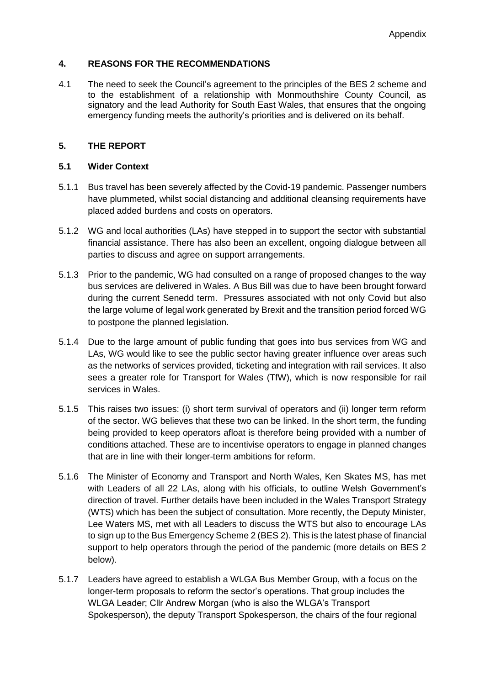## **4. REASONS FOR THE RECOMMENDATIONS**

4.1 The need to seek the Council's agreement to the principles of the BES 2 scheme and to the establishment of a relationship with Monmouthshire County Council, as signatory and the lead Authority for South East Wales, that ensures that the ongoing emergency funding meets the authority's priorities and is delivered on its behalf.

## **5. THE REPORT**

## **5.1 Wider Context**

- 5.1.1 Bus travel has been severely affected by the Covid-19 pandemic. Passenger numbers have plummeted, whilst social distancing and additional cleansing requirements have placed added burdens and costs on operators.
- 5.1.2 WG and local authorities (LAs) have stepped in to support the sector with substantial financial assistance. There has also been an excellent, ongoing dialogue between all parties to discuss and agree on support arrangements.
- 5.1.3 Prior to the pandemic, WG had consulted on a range of proposed changes to the way bus services are delivered in Wales. A Bus Bill was due to have been brought forward during the current Senedd term. Pressures associated with not only Covid but also the large volume of legal work generated by Brexit and the transition period forced WG to postpone the planned legislation.
- 5.1.4 Due to the large amount of public funding that goes into bus services from WG and LAs, WG would like to see the public sector having greater influence over areas such as the networks of services provided, ticketing and integration with rail services. It also sees a greater role for Transport for Wales (TfW), which is now responsible for rail services in Wales.
- 5.1.5 This raises two issues: (i) short term survival of operators and (ii) longer term reform of the sector. WG believes that these two can be linked. In the short term, the funding being provided to keep operators afloat is therefore being provided with a number of conditions attached. These are to incentivise operators to engage in planned changes that are in line with their longer-term ambitions for reform.
- 5.1.6 The Minister of Economy and Transport and North Wales, Ken Skates MS, has met with Leaders of all 22 LAs, along with his officials, to outline Welsh Government's direction of travel. Further details have been included in the Wales Transport Strategy (WTS) which has been the subject of consultation. More recently, the Deputy Minister, Lee Waters MS, met with all Leaders to discuss the WTS but also to encourage LAs to sign up to the Bus Emergency Scheme 2 (BES 2). This is the latest phase of financial support to help operators through the period of the pandemic (more details on BES 2 below).
- 5.1.7 Leaders have agreed to establish a WLGA Bus Member Group, with a focus on the longer-term proposals to reform the sector's operations. That group includes the WLGA Leader; Cllr Andrew Morgan (who is also the WLGA's Transport Spokesperson), the deputy Transport Spokesperson, the chairs of the four regional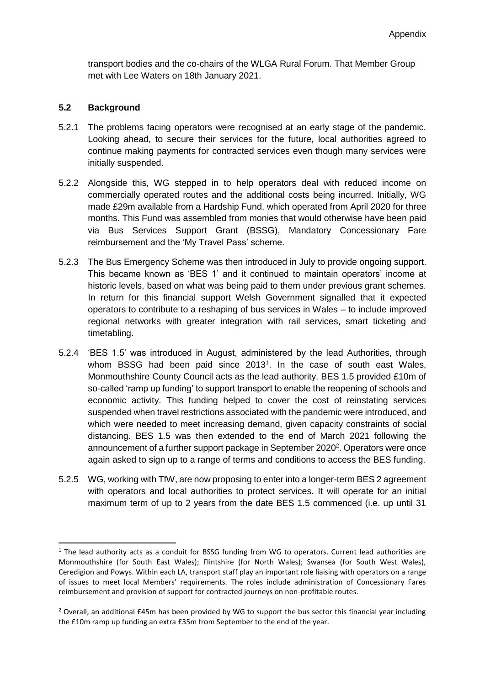transport bodies and the co-chairs of the WLGA Rural Forum. That Member Group met with Lee Waters on 18th January 2021.

## **5.2 Background**

-

- 5.2.1 The problems facing operators were recognised at an early stage of the pandemic. Looking ahead, to secure their services for the future, local authorities agreed to continue making payments for contracted services even though many services were initially suspended.
- 5.2.2 Alongside this, WG stepped in to help operators deal with reduced income on commercially operated routes and the additional costs being incurred. Initially, WG made £29m available from a Hardship Fund, which operated from April 2020 for three months. This Fund was assembled from monies that would otherwise have been paid via Bus Services Support Grant (BSSG), Mandatory Concessionary Fare reimbursement and the 'My Travel Pass' scheme.
- 5.2.3 The Bus Emergency Scheme was then introduced in July to provide ongoing support. This became known as 'BES 1' and it continued to maintain operators' income at historic levels, based on what was being paid to them under previous grant schemes. In return for this financial support Welsh Government signalled that it expected operators to contribute to a reshaping of bus services in Wales – to include improved regional networks with greater integration with rail services, smart ticketing and timetabling.
- 5.2.4 'BES 1.5' was introduced in August, administered by the lead Authorities, through whom BSSG had been paid since 2013<sup>1</sup>. In the case of south east Wales, Monmouthshire County Council acts as the lead authority. BES 1.5 provided £10m of so-called 'ramp up funding' to support transport to enable the reopening of schools and economic activity. This funding helped to cover the cost of reinstating services suspended when travel restrictions associated with the pandemic were introduced, and which were needed to meet increasing demand, given capacity constraints of social distancing. BES 1.5 was then extended to the end of March 2021 following the announcement of a further support package in September 2020<sup>2</sup>. Operators were once again asked to sign up to a range of terms and conditions to access the BES funding.
- 5.2.5 WG, working with TfW, are now proposing to enter into a longer-term BES 2 agreement with operators and local authorities to protect services. It will operate for an initial maximum term of up to 2 years from the date BES 1.5 commenced (i.e. up until 31

 $1$  The lead authority acts as a conduit for BSSG funding from WG to operators. Current lead authorities are Monmouthshire (for South East Wales); Flintshire (for North Wales); Swansea (for South West Wales), Ceredigion and Powys. Within each LA, transport staff play an important role liaising with operators on a range of issues to meet local Members' requirements. The roles include administration of Concessionary Fares reimbursement and provision of support for contracted journeys on non-profitable routes.

<sup>&</sup>lt;sup>2</sup> Overall, an additional £45m has been provided by WG to support the bus sector this financial year including the £10m ramp up funding an extra £35m from September to the end of the year.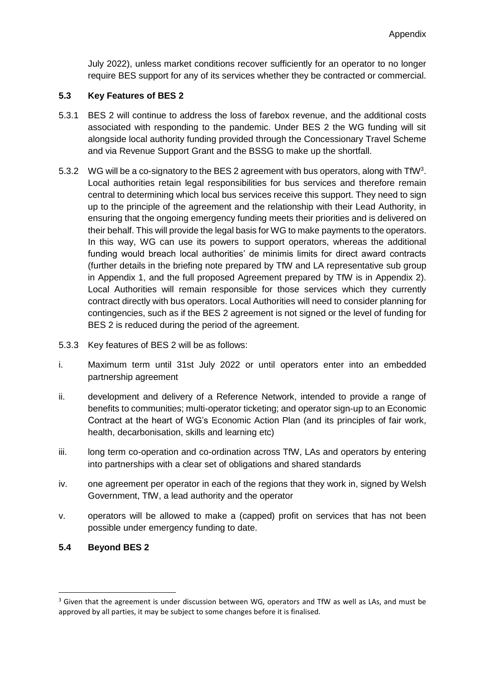July 2022), unless market conditions recover sufficiently for an operator to no longer require BES support for any of its services whether they be contracted or commercial.

## **5.3 Key Features of BES 2**

- 5.3.1 BES 2 will continue to address the loss of farebox revenue, and the additional costs associated with responding to the pandemic. Under BES 2 the WG funding will sit alongside local authority funding provided through the Concessionary Travel Scheme and via Revenue Support Grant and the BSSG to make up the shortfall.
- 5.3.2 WG will be a co-signatory to the BES 2 agreement with bus operators, along with  $TfW<sup>3</sup>$ . Local authorities retain legal responsibilities for bus services and therefore remain central to determining which local bus services receive this support. They need to sign up to the principle of the agreement and the relationship with their Lead Authority, in ensuring that the ongoing emergency funding meets their priorities and is delivered on their behalf. This will provide the legal basis for WG to make payments to the operators. In this way, WG can use its powers to support operators, whereas the additional funding would breach local authorities' de minimis limits for direct award contracts (further details in the briefing note prepared by TfW and LA representative sub group in Appendix 1, and the full proposed Agreement prepared by TfW is in Appendix 2). Local Authorities will remain responsible for those services which they currently contract directly with bus operators. Local Authorities will need to consider planning for contingencies, such as if the BES 2 agreement is not signed or the level of funding for BES 2 is reduced during the period of the agreement.
- 5.3.3 Key features of BES 2 will be as follows:
- i. Maximum term until 31st July 2022 or until operators enter into an embedded partnership agreement
- ii. development and delivery of a Reference Network, intended to provide a range of benefits to communities; multi-operator ticketing; and operator sign-up to an Economic Contract at the heart of WG's Economic Action Plan (and its principles of fair work, health, decarbonisation, skills and learning etc)
- iii. long term co-operation and co-ordination across TfW, LAs and operators by entering into partnerships with a clear set of obligations and shared standards
- iv. one agreement per operator in each of the regions that they work in, signed by Welsh Government, TfW, a lead authority and the operator
- v. operators will be allowed to make a (capped) profit on services that has not been possible under emergency funding to date.

## **5.4 Beyond BES 2**

-

<sup>&</sup>lt;sup>3</sup> Given that the agreement is under discussion between WG, operators and TfW as well as LAs, and must be approved by all parties, it may be subject to some changes before it is finalised.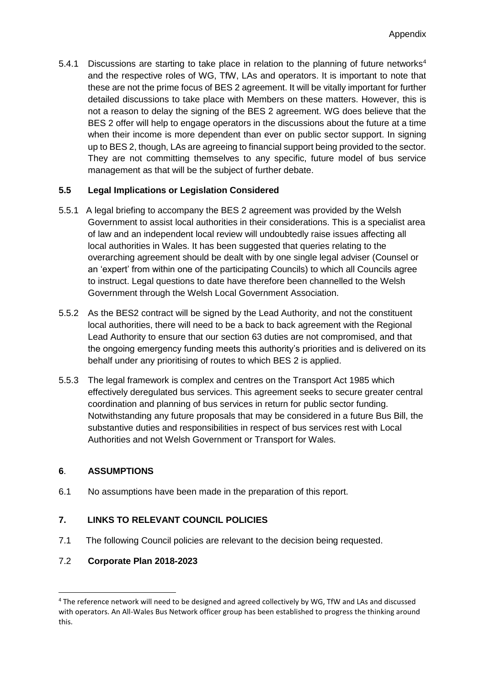5.4.1 Discussions are starting to take place in relation to the planning of future networks<sup>4</sup> and the respective roles of WG, TfW, LAs and operators. It is important to note that these are not the prime focus of BES 2 agreement. It will be vitally important for further detailed discussions to take place with Members on these matters. However, this is not a reason to delay the signing of the BES 2 agreement. WG does believe that the BES 2 offer will help to engage operators in the discussions about the future at a time when their income is more dependent than ever on public sector support. In signing up to BES 2, though, LAs are agreeing to financial support being provided to the sector. They are not committing themselves to any specific, future model of bus service management as that will be the subject of further debate.

## **5.5 Legal Implications or Legislation Considered**

- 5.5.1 A legal briefing to accompany the BES 2 agreement was provided by the Welsh Government to assist local authorities in their considerations. This is a specialist area of law and an independent local review will undoubtedly raise issues affecting all local authorities in Wales. It has been suggested that queries relating to the overarching agreement should be dealt with by one single legal adviser (Counsel or an 'expert' from within one of the participating Councils) to which all Councils agree to instruct. Legal questions to date have therefore been channelled to the Welsh Government through the Welsh Local Government Association.
- 5.5.2 As the BES2 contract will be signed by the Lead Authority, and not the constituent local authorities, there will need to be a back to back agreement with the Regional Lead Authority to ensure that our section 63 duties are not compromised, and that the ongoing emergency funding meets this authority's priorities and is delivered on its behalf under any prioritising of routes to which BES 2 is applied.
- 5.5.3 The legal framework is complex and centres on the Transport Act 1985 which effectively deregulated bus services. This agreement seeks to secure greater central coordination and planning of bus services in return for public sector funding. Notwithstanding any future proposals that may be considered in a future Bus Bill, the substantive duties and responsibilities in respect of bus services rest with Local Authorities and not Welsh Government or Transport for Wales.

## **6**. **ASSUMPTIONS**

-

6.1 No assumptions have been made in the preparation of this report.

## **7. LINKS TO RELEVANT COUNCIL POLICIES**

7.1 The following Council policies are relevant to the decision being requested.

## 7.2 **Corporate Plan 2018-2023**

<sup>4</sup> The reference network will need to be designed and agreed collectively by WG, TfW and LAs and discussed with operators. An All-Wales Bus Network officer group has been established to progress the thinking around this.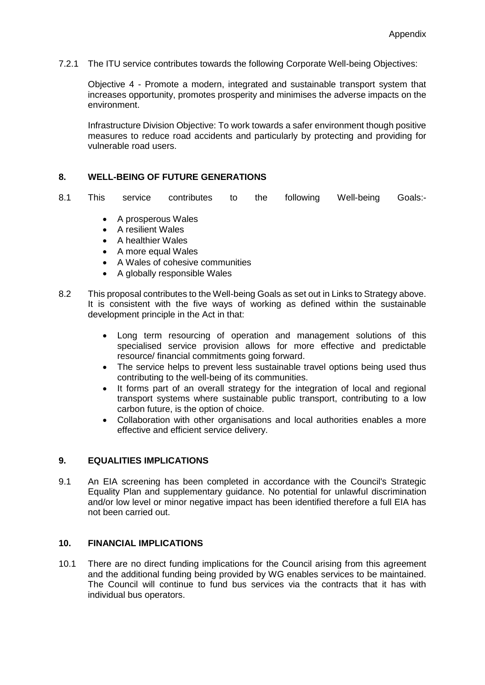7.2.1 The ITU service contributes towards the following Corporate Well-being Objectives:

Objective 4 - Promote a modern, integrated and sustainable transport system that increases opportunity, promotes prosperity and minimises the adverse impacts on the environment.

Infrastructure Division Objective: To work towards a safer environment though positive measures to reduce road accidents and particularly by protecting and providing for vulnerable road users.

#### **8. WELL-BEING OF FUTURE GENERATIONS**

- 8.1 This service contributes to the following Well-being Goals:-
	- A prosperous Wales
	- A resilient Wales
	- A healthier Wales
	- A more equal Wales
	- A Wales of cohesive communities
	- A globally responsible Wales
- 8.2 This proposal contributes to the Well-being Goals as set out in Links to Strategy above. It is consistent with the five ways of working as defined within the sustainable development principle in the Act in that:
	- Long term resourcing of operation and management solutions of this specialised service provision allows for more effective and predictable resource/ financial commitments going forward.
	- The service helps to prevent less sustainable travel options being used thus contributing to the well-being of its communities.
	- It forms part of an overall strategy for the integration of local and regional transport systems where sustainable public transport, contributing to a low carbon future, is the option of choice.
	- Collaboration with other organisations and local authorities enables a more effective and efficient service delivery.

#### **9. EQUALITIES IMPLICATIONS**

9.1 An EIA screening has been completed in accordance with the Council's Strategic Equality Plan and supplementary guidance. No potential for unlawful discrimination and/or low level or minor negative impact has been identified therefore a full EIA has not been carried out.

#### **10. FINANCIAL IMPLICATIONS**

10.1 There are no direct funding implications for the Council arising from this agreement and the additional funding being provided by WG enables services to be maintained. The Council will continue to fund bus services via the contracts that it has with individual bus operators.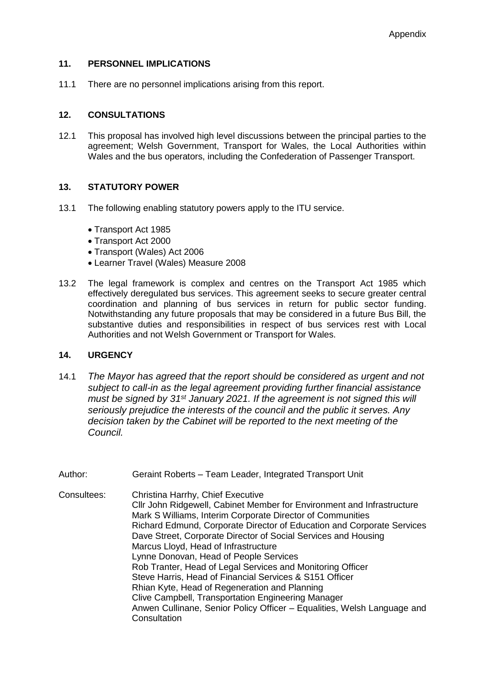#### **11. PERSONNEL IMPLICATIONS**

11.1 There are no personnel implications arising from this report.

## **12. CONSULTATIONS**

12.1 This proposal has involved high level discussions between the principal parties to the agreement; Welsh Government, Transport for Wales, the Local Authorities within Wales and the bus operators, including the Confederation of Passenger Transport.

## **13. STATUTORY POWER**

- 13.1 The following enabling statutory powers apply to the ITU service.
	- Transport Act 1985
	- Transport Act 2000
	- Transport (Wales) Act 2006
	- Learner Travel (Wales) Measure 2008
- 13.2 The legal framework is complex and centres on the Transport Act 1985 which effectively deregulated bus services. This agreement seeks to secure greater central coordination and planning of bus services in return for public sector funding. Notwithstanding any future proposals that may be considered in a future Bus Bill, the substantive duties and responsibilities in respect of bus services rest with Local Authorities and not Welsh Government or Transport for Wales.

## **14. URGENCY**

- 14.1 *The Mayor has agreed that the report should be considered as urgent and not subject to call-in as the legal agreement providing further financial assistance must be signed by 31st January 2021. If the agreement is not signed this will seriously prejudice the interests of the council and the public it serves. Any decision taken by the Cabinet will be reported to the next meeting of the Council.*
- Author: Geraint Roberts Team Leader, Integrated Transport Unit Consultees: Christina Harrhy, Chief Executive Cllr John Ridgewell, Cabinet Member for Environment and Infrastructure Mark S Williams, Interim Corporate Director of Communities Richard Edmund, Corporate Director of Education and Corporate Services Dave Street, Corporate Director of Social Services and Housing Marcus Lloyd, Head of Infrastructure Lynne Donovan, Head of People Services Rob Tranter, Head of Legal Services and Monitoring Officer Steve Harris, Head of Financial Services & S151 Officer Rhian Kyte, Head of Regeneration and Planning Clive Campbell, Transportation Engineering Manager Anwen Cullinane, Senior Policy Officer – Equalities, Welsh Language and **Consultation**